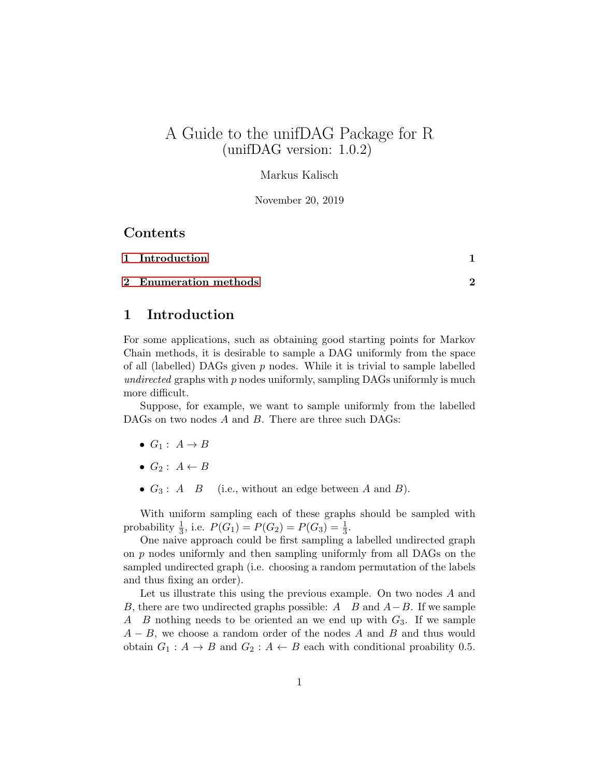# A Guide to the unifDAG Package for R (unifDAG version: 1.0.2)

#### Markus Kalisch

November 20, 2019

#### Contents

| 1 Introduction        |  |
|-----------------------|--|
| 2 Enumeration methods |  |

### <span id="page-0-0"></span>1 Introduction

For some applications, such as obtaining good starting points for Markov Chain methods, it is desirable to sample a DAG uniformly from the space of all (labelled) DAGs given  $p$  nodes. While it is trivial to sample labelled undirected graphs with  $p$  nodes uniformly, sampling DAGs uniformly is much more difficult.

Suppose, for example, we want to sample uniformly from the labelled DAGs on two nodes A and B. There are three such DAGs:

- $G_1: A \rightarrow B$
- $G_2: A \leftarrow B$
- $G_3: A \quad B$  (i.e., without an edge between A and B).

With uniform sampling each of these graphs should be sampled with probability  $\frac{1}{3}$ , i.e.  $P(G_1) = P(G_2) = P(G_3) = \frac{1}{3}$ .

One naive approach could be first sampling a labelled undirected graph on  $p$  nodes uniformly and then sampling uniformly from all DAGs on the sampled undirected graph (i.e. choosing a random permutation of the labels and thus fixing an order).

Let us illustrate this using the previous example. On two nodes A and B, there are two undirected graphs possible: A B and  $A-B$ . If we sample A B nothing needs to be oriented an we end up with  $G_3$ . If we sample  $A - B$ , we choose a random order of the nodes A and B and thus would obtain  $G_1: A \to B$  and  $G_2: A \leftarrow B$  each with conditional proability 0.5.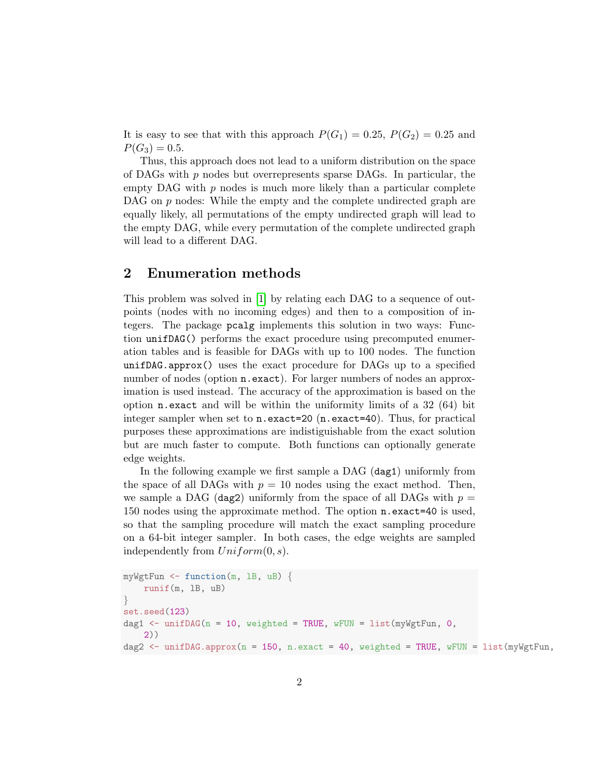It is easy to see that with this approach  $P(G_1) = 0.25$ ,  $P(G_2) = 0.25$  and  $P(G_3) = 0.5.$ 

Thus, this approach does not lead to a uniform distribution on the space of DAGs with  $p$  nodes but overrepresents sparse DAGs. In particular, the empty DAG with  $p$  nodes is much more likely than a particular complete DAG on  $p$  nodes: While the empty and the complete undirected graph are equally likely, all permutations of the empty undirected graph will lead to the empty DAG, while every permutation of the complete undirected graph will lead to a different DAG.

#### <span id="page-1-0"></span>2 Enumeration methods

This problem was solved in [\[1\]](#page-2-0) by relating each DAG to a sequence of outpoints (nodes with no incoming edges) and then to a composition of integers. The package pcalg implements this solution in two ways: Function unifDAG() performs the exact procedure using precomputed enumeration tables and is feasible for DAGs with up to 100 nodes. The function unifDAG.approx() uses the exact procedure for DAGs up to a specified number of nodes (option **n**.exact). For larger numbers of nodes an approximation is used instead. The accuracy of the approximation is based on the option n.exact and will be within the uniformity limits of a 32 (64) bit integer sampler when set to n.exact=20 (n.exact=40). Thus, for practical purposes these approximations are indistiguishable from the exact solution but are much faster to compute. Both functions can optionally generate edge weights.

In the following example we first sample a DAG (dag1) uniformly from the space of all DAGs with  $p = 10$  nodes using the exact method. Then, we sample a DAG (dag2) uniformly from the space of all DAGs with  $p =$ 150 nodes using the approximate method. The option n.exact=40 is used, so that the sampling procedure will match the exact sampling procedure on a 64-bit integer sampler. In both cases, the edge weights are sampled independently from  $Uniform(0, s)$ .

```
myWgtFun \leq function(m, 1B, uB) {
    runif(m, lB, uB)
}
set.seed(123)
dag1 \le unifDAG(n = 10, weighted = TRUE, wFUN = list(myWgtFun, 0,
    2))
dag2 <- unifDAG.approx(n = 150, n.exact = 40, weighted = TRUE, wFUN = list(myWgtFun,
```